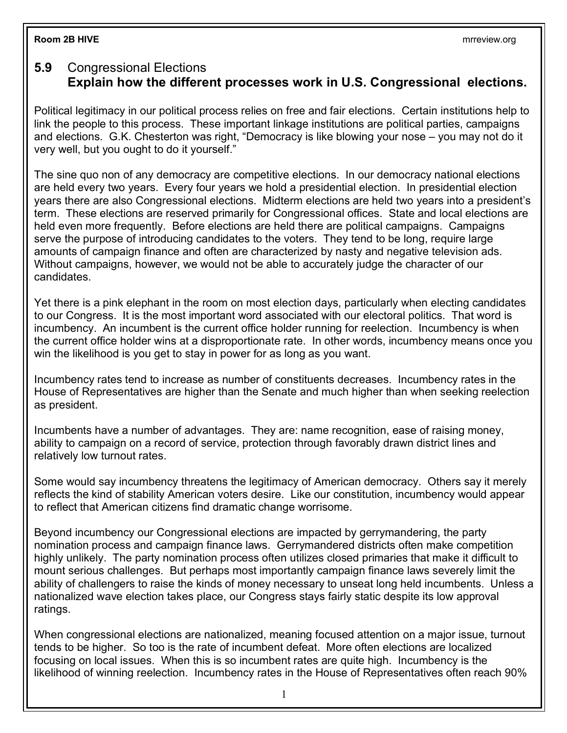## **Room 2B HIVE** mrreview.org

## **5.9** Congressional Elections **Explain how the different processes work in U.S. Congressional elections.**

Political legitimacy in our political process relies on free and fair elections. Certain institutions help to link the people to this process. These important linkage institutions are political parties, campaigns and elections. G.K. Chesterton was right, "Democracy is like blowing your nose – you may not do it very well, but you ought to do it yourself."

The sine quo non of any democracy are competitive elections. In our democracy national elections are held every two years. Every four years we hold a presidential election. In presidential election years there are also Congressional elections. Midterm elections are held two years into a president's term. These elections are reserved primarily for Congressional offices. State and local elections are held even more frequently. Before elections are held there are political campaigns. Campaigns serve the purpose of introducing candidates to the voters. They tend to be long, require large amounts of campaign finance and often are characterized by nasty and negative television ads. Without campaigns, however, we would not be able to accurately judge the character of our candidates.

Yet there is a pink elephant in the room on most election days, particularly when electing candidates to our Congress. It is the most important word associated with our electoral politics. That word is incumbency. An incumbent is the current office holder running for reelection. Incumbency is when the current office holder wins at a disproportionate rate. In other words, incumbency means once you win the likelihood is you get to stay in power for as long as you want.

Incumbency rates tend to increase as number of constituents decreases. Incumbency rates in the House of Representatives are higher than the Senate and much higher than when seeking reelection as president.

Incumbents have a number of advantages. They are: name recognition, ease of raising money, ability to campaign on a record of service, protection through favorably drawn district lines and relatively low turnout rates.

Some would say incumbency threatens the legitimacy of American democracy. Others say it merely reflects the kind of stability American voters desire. Like our constitution, incumbency would appear to reflect that American citizens find dramatic change worrisome.

Beyond incumbency our Congressional elections are impacted by gerrymandering, the party nomination process and campaign finance laws. Gerrymandered districts often make competition highly unlikely. The party nomination process often utilizes closed primaries that make it difficult to mount serious challenges. But perhaps most importantly campaign finance laws severely limit the ability of challengers to raise the kinds of money necessary to unseat long held incumbents. Unless a nationalized wave election takes place, our Congress stays fairly static despite its low approval ratings.

When congressional elections are nationalized, meaning focused attention on a major issue, turnout tends to be higher. So too is the rate of incumbent defeat. More often elections are localized focusing on local issues. When this is so incumbent rates are quite high. Incumbency is the likelihood of winning reelection. Incumbency rates in the House of Representatives often reach 90%